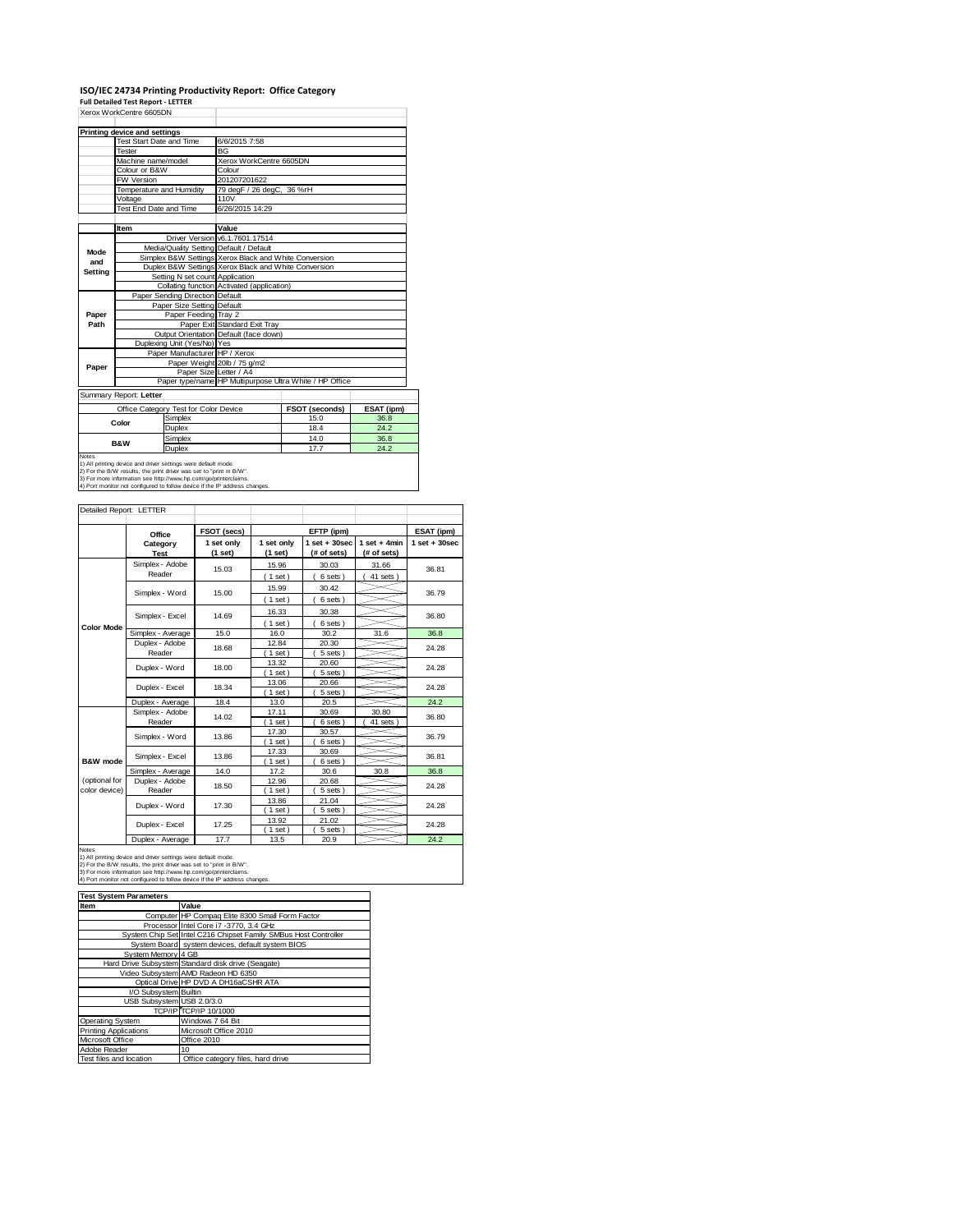# **ISO/IEC 24734 Printing Productivity Report: Office Category Full Detailed Test Report ‐ LETTER** Xerox WorkCentre 6605DN

|             | Printing device and settings |                                       |                                                         |                       |            |
|-------------|------------------------------|---------------------------------------|---------------------------------------------------------|-----------------------|------------|
|             | Test Start Date and Time     |                                       | 6/6/2015 7:58                                           |                       |            |
|             | <b>Tester</b>                |                                       | <b>BG</b>                                               |                       |            |
|             | Machine name/model           |                                       | Xerox WorkCentre 6605DN                                 |                       |            |
|             | Colour or B&W                |                                       | Colour                                                  |                       |            |
|             | FW Version                   |                                       | 201207201622                                            |                       |            |
|             | Temperature and Humidity     |                                       | 79 degF / 26 degC, 36 %rH                               |                       |            |
|             | Voltage                      |                                       | 110V                                                    |                       |            |
|             | Test End Date and Time       |                                       | 6/26/2015 14:29                                         |                       |            |
|             |                              |                                       |                                                         |                       |            |
|             | Item                         |                                       | Value                                                   |                       |            |
|             |                              |                                       | Driver Version v6.1.7601.17514                          |                       |            |
| <b>Mode</b> |                              |                                       | Media/Quality Setting Default / Default                 |                       |            |
| and         |                              |                                       | Simplex B&W Settings Xerox Black and White Conversion   |                       |            |
| Setting     |                              |                                       | Duplex B&W Settings Xerox Black and White Conversion    |                       |            |
|             |                              | Setting N set count Application       |                                                         |                       |            |
|             |                              |                                       | Collating function Activated (application)              |                       |            |
|             |                              | Paper Sending Direction Default       |                                                         |                       |            |
|             |                              | Paper Size Setting Default            |                                                         |                       |            |
| Paper       | Paper Feeding Tray 2         |                                       |                                                         |                       |            |
| Path        |                              |                                       | Paper Exit Standard Exit Trav                           |                       |            |
|             |                              |                                       | Output Orientation Default (face down)                  |                       |            |
|             |                              | Duplexing Unit (Yes/No) Yes           |                                                         |                       |            |
|             |                              | Paper Manufacturer HP / Xerox         |                                                         |                       |            |
| Paper       |                              |                                       | Paper Weight 20lb / 75 g/m2                             |                       |            |
|             |                              |                                       | Paper Size Letter / A4                                  |                       |            |
|             |                              |                                       | Paper type/name HP Multipurpose Ultra White / HP Office |                       |            |
|             | Summary Report: Letter       |                                       |                                                         |                       |            |
|             |                              | Office Category Test for Color Device |                                                         | <b>FSOT (seconds)</b> | ESAT (ipm) |
|             |                              | Simplex                               |                                                         | 15.0                  | 36.8       |
|             | Color                        | Duplex                                |                                                         | 18.4                  | 24.2       |
|             |                              | Cimploy                               |                                                         | 1 A A                 | 26.9       |

 $\overline{\phantom{a}}$ 

| Office Category lest for Color Device |         | <b>FSOI (SecondS)</b> | ESAI (I |
|---------------------------------------|---------|-----------------------|---------|
| Color                                 | Simplex | 15.0                  | 36.8    |
|                                       | Duplex  | 18.4                  | 24.2    |
| <b>B&amp;W</b>                        | Simplex | 14.0                  | 36.8    |
|                                       | Duplex  | 17.7                  | 24.2    |

Notes 1) All printing device and driver settings were default mode. 2) For the B/W results, the print driver was set to "print in B/W". 3) For more information see http://www.hp.com/go/printerclaims.

torotaling.<br>address ch

|  |  | 4) Port monitor not configured to follow device if the IP a |  |  |  |  |
|--|--|-------------------------------------------------------------|--|--|--|--|
|  |  |                                                             |  |  |  |  |

| Detailed Report: LETTER        |                           |                       |                       |                                  |                               |                   |
|--------------------------------|---------------------------|-----------------------|-----------------------|----------------------------------|-------------------------------|-------------------|
|                                | Office                    | FSOT (secs)           |                       | EFTP (ipm)                       |                               | ESAT (ipm)        |
|                                | Category<br><b>Test</b>   | 1 set only<br>(1 set) | 1 set only<br>(1 set) | $1$ set $+30$ sec<br>(# of sets) | $1$ set + 4min<br>(# of sets) | $1$ set $+30$ sec |
|                                | Simplex - Adobe<br>Reader | 15.03                 | 15.96<br>(1 set)      | 30.03<br>6 sets)                 | 31.66<br>41 sets              | 36.81             |
|                                | Simplex - Word            | 15.00                 | 15.99                 | 30.42                            |                               | 36.79             |
|                                | Simplex - Excel           | 14.69                 | $1$ set)<br>16.33     | 6 sets)<br>30.38                 |                               | 36.80             |
| <b>Color Mode</b>              | Simplex - Average         | 15.0                  | $1$ set)<br>16.0      | 6 sets)<br>30.2                  | 31.6                          | 36.8              |
|                                | Duplex - Adobe<br>Reader  | 18.68                 | 12.84<br>$1$ set)     | 20.30<br>5 sets)                 |                               | 24.28             |
|                                | Duplex - Word             | 18.00                 | 13.32<br>$1$ set)     | 20.60<br>5 sets)                 |                               | 24.28             |
|                                | Duplex - Excel            | 18.34                 | 13.06<br>$1$ set)     | 20.66<br>5 sets )                |                               | 24.28             |
|                                | Duplex - Average          | 18.4                  | 13.0                  | 20.5                             |                               | 24.2              |
|                                | Simplex - Adobe<br>Reader | 14.02                 | 17.11<br>$1$ set)     | 30.69<br>6 sets)                 | 30.80<br>41 sets              | 36.80             |
|                                | Simplex - Word            | 13.86                 | 17.30<br>$1$ set $)$  | 30.57<br>6 sets)                 |                               | 36.79             |
| B&W mode                       | Simplex - Excel           | 13.86                 | 17.33<br>$1$ set)     | 30.69<br>6 sets)                 |                               | 36.81             |
|                                | Simplex - Average         | 14.0                  | 17.2                  | 30.6                             | 30.8                          | 36.8              |
| (optional for<br>color device) | Duplex - Adobe<br>Reader  | 18.50                 | 12.96<br>$1$ set)     | 20.68<br>5 sets                  |                               | 24.28             |
|                                | Duplex - Word             | 17.30                 | 13.86<br>$1$ set)     | 21.04<br>5 sets)                 |                               | 24.28             |
|                                | Duplex - Excel            | 17.25                 | 13.92<br>$1$ set)     | 21.02<br>5 sets)                 |                               | 24.28             |
|                                | Duplex - Average          | 17.7                  | 13.5                  | 20.9                             |                               | 24.2              |

Notes<br>1) All printing device and driver settings were default mode.<br>2) For the B/W results, the print driver was set to "print in B/W".<br>3) For more information see http://www.hp.com/go/printerclaims.<br>4) Port monitor not co

| <b>Test System Parameters</b> |                                                                 |  |  |  |
|-------------------------------|-----------------------------------------------------------------|--|--|--|
| Item                          | Value                                                           |  |  |  |
|                               | Computer HP Compag Elite 8300 Small Form Factor                 |  |  |  |
|                               | Processor Intel Core i7 -3770, 3.4 GHz                          |  |  |  |
|                               | System Chip Set Intel C216 Chipset Family SMBus Host Controller |  |  |  |
|                               | System Board system devices, default system BIOS                |  |  |  |
| System Memory 4 GB            |                                                                 |  |  |  |
|                               | Hard Drive Subsystem Standard disk drive (Seagate)              |  |  |  |
|                               | Video Subsystem AMD Radeon HD 6350                              |  |  |  |
|                               | Optical Drive HP DVD A DH16aCSHR ATA                            |  |  |  |
| I/O Subsystem Builtin         |                                                                 |  |  |  |
| USB Subsystem USB 2.0/3.0     |                                                                 |  |  |  |
|                               | TCP/IP TCP/IP 10/1000                                           |  |  |  |
| <b>Operating System</b>       | Windows 7 64 Bit                                                |  |  |  |
| <b>Printing Applications</b>  | Microsoft Office 2010                                           |  |  |  |
| Microsoft Office              | Office 2010                                                     |  |  |  |
| Adobe Reader                  | 10                                                              |  |  |  |
| Test files and location       | Office category files, hard drive                               |  |  |  |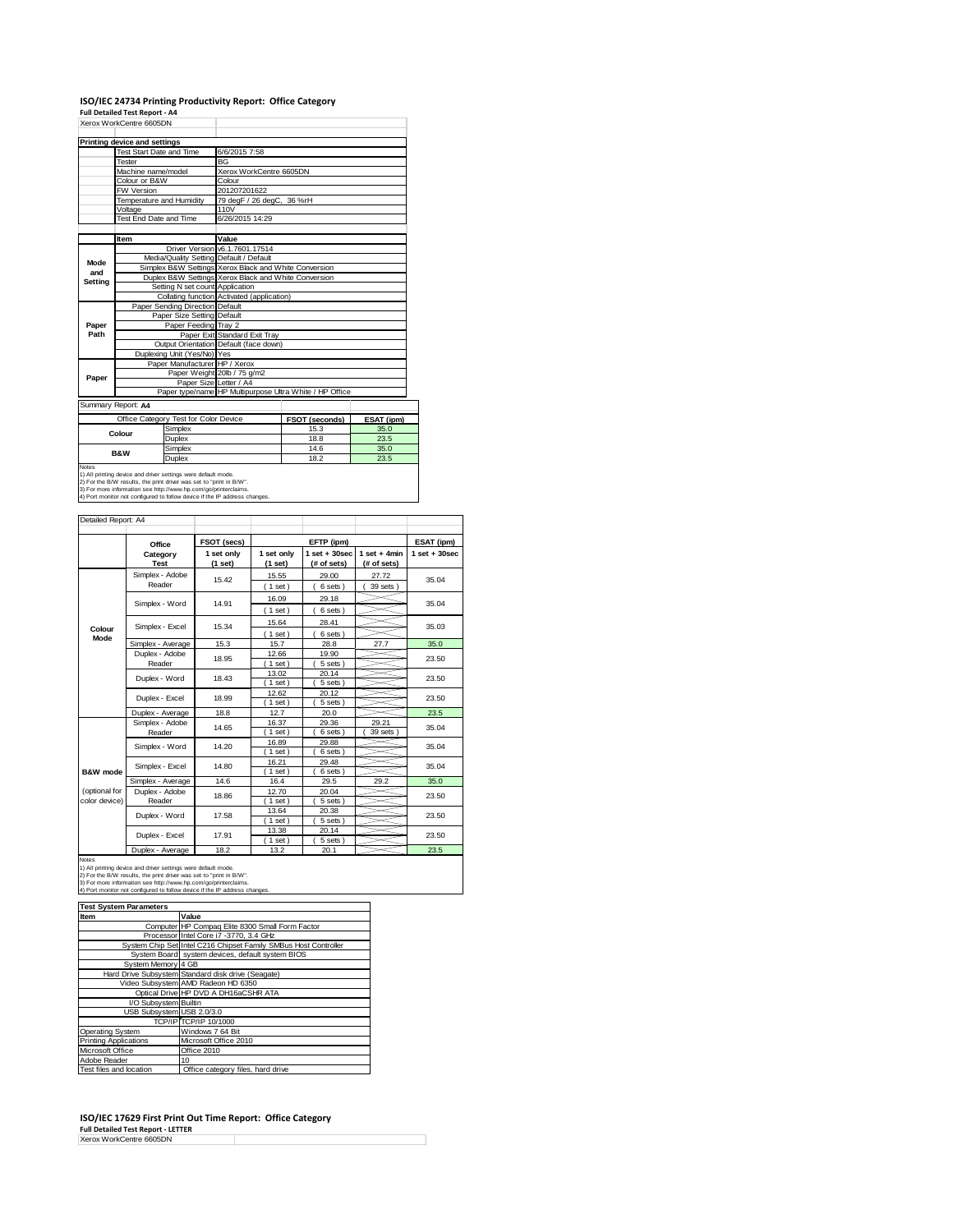### **ISO/IEC 24734 Printing Productivity Report: Office Category Full Detailed Test Report ‐ A4**

|                          | Xerox WorkCentre 6605DN                 |                                                         |
|--------------------------|-----------------------------------------|---------------------------------------------------------|
|                          |                                         |                                                         |
|                          | Printing device and settings            |                                                         |
|                          | <b>Test Start Date and Time</b>         | 6/6/2015 7:58                                           |
|                          | Tester                                  | <b>BG</b>                                               |
|                          | Machine name/model                      | Xerox WorkCentre 6605DN                                 |
|                          | Colour or B&W                           | Colour                                                  |
|                          | FW Version                              | 201207201622                                            |
|                          | Temperature and Humidity                | 79 degF / 26 degC, 36 %rH                               |
|                          | Voltage                                 | 110V                                                    |
|                          | Test End Date and Time                  | 6/26/2015 14:29                                         |
|                          |                                         |                                                         |
|                          | Item                                    | Value                                                   |
|                          |                                         | Driver Version v6.1.7601.17514                          |
| Mode                     | Media/Quality Setting Default / Default |                                                         |
| and                      |                                         | Simplex B&W Settings Xerox Black and White Conversion   |
| Setting                  |                                         | Duplex B&W Settings Xerox Black and White Conversion    |
|                          | Setting N set count Application         |                                                         |
|                          |                                         | Collating function Activated (application)              |
|                          | Paper Sending Direction Default         |                                                         |
|                          | Paper Size Setting Default              |                                                         |
| Paper                    | Paper Feeding Tray 2                    |                                                         |
| Path                     |                                         | Paper Exit Standard Exit Tray                           |
|                          |                                         | Output Orientation Default (face down)                  |
|                          | Duplexing Unit (Yes/No) Yes             |                                                         |
|                          | Paper Manufacturer HP / Xerox           |                                                         |
| Paper                    |                                         | Paper Weight 20lb / 75 g/m2                             |
|                          | Paper Size Letter / A4                  |                                                         |
|                          |                                         | Paper type/name HP Multipurpose Ultra White / HP Office |
| $\overline{\phantom{0}}$ |                                         |                                                         |

Summary Report: **A4**

| Office Category Test for Color Device                                        |         | FSOT (seconds) | <b>ESAT (ipm)</b> |  |
|------------------------------------------------------------------------------|---------|----------------|-------------------|--|
| Colour                                                                       | Simplex | 15.3           | 35.0              |  |
|                                                                              | Duplex  | 18.8           | 23.5              |  |
| <b>B&amp;W</b>                                                               | Simplex | 14.6           | 35.0              |  |
|                                                                              | Duplex  | 18.2           | 23.5              |  |
| <b>Notes</b><br>1) All printing doving and driver cottings were default mode |         |                |                   |  |
|                                                                              |         |                |                   |  |

1) All printing device and driver settings were default mode.<br>2) For the B/W results, the print driver was set to "print in B/W".<br>3) For more information see http://www.hp.com/go/printerclaims.<br>4) Port monitor not configur

#### Detailed Report: A4

|                     | Office                  | FSOT (secs)           |                       | EFTP (ipm)                       |                               | ESAT (ipm)        |
|---------------------|-------------------------|-----------------------|-----------------------|----------------------------------|-------------------------------|-------------------|
|                     | Category<br><b>Test</b> | 1 set only<br>(1 set) | 1 set only<br>(1 set) | $1$ set $+30$ sec<br>(# of sets) | $1$ set + 4min<br>(# of sets) | $1$ set $+30$ sec |
|                     | Simplex - Adobe         | 15.42                 | 15.55                 | 29.00                            | 27.72                         | 35.04             |
|                     | Reader                  |                       | (1 set)               | 6 sets)                          | 39 sets                       |                   |
|                     | Simplex - Word          | 14.91                 | 16.09                 | 29.18                            |                               | 35.04             |
|                     |                         |                       | (1 set)               | 6 sets)                          |                               |                   |
|                     |                         |                       | 15.64                 | 28.41                            |                               |                   |
| Colour<br>Mode      | Simplex - Excel         | 15.34                 | (1 set)               | 6 sets)                          |                               | 35.03             |
|                     | Simplex - Average       | 15.3                  | 15.7                  | 28.8                             | 27.7                          | 35.0              |
|                     | Duplex - Adobe          | 18.95                 | 12.66                 | 19.90                            |                               | 23.50             |
|                     | Reader                  |                       | 1 set)                | 5 sets)                          |                               |                   |
|                     | Duplex - Word           | 18.43                 | 13.02                 | 20.14                            |                               | 23.50             |
|                     |                         |                       | $1$ set)              | 5 sets)                          |                               |                   |
|                     | Duplex - Excel          | 18.99                 | 12.62<br>$1$ set)     | 20.12<br>5 sets)                 |                               | 23.50             |
|                     | Duplex - Average        | 18.8                  | 12.7                  | 20.0                             |                               | 23.5              |
|                     | Simplex - Adobe         |                       | 16.37                 | 29.36                            | 29.21                         |                   |
|                     | Reader                  | 14.65                 | $1$ set)              | 6 sets)                          | 39 sets                       | 35.04             |
|                     | Simplex - Word          | 14.20                 | 16.89                 | 29.88                            |                               | 35.04             |
|                     |                         |                       | (1 set)               | 6 sets)                          |                               |                   |
|                     | Simplex - Excel         | 14.80                 | 16.21                 | 29.48                            |                               | 35.04             |
| <b>B&amp;W</b> mode |                         |                       | $1$ set)              | 6 sets)                          |                               |                   |
|                     | Simplex - Average       | 14.6                  | 16.4                  | 29.5                             | 29.2                          | 35.0              |
| (optional for       | Duplex - Adobe          | 18.86                 | 12.70                 | 20.04                            |                               | 23.50             |
| color device)       | Reader                  |                       | $1$ set)              | 5 sets)                          |                               |                   |
|                     | Duplex - Word           | 17.58                 | 13.64                 | 20.38                            |                               | 23.50             |
|                     |                         |                       | $1$ set)              | 5 sets)                          |                               |                   |
|                     | Duplex - Excel          | 17.91                 | 13.38                 | 20.14                            |                               | 23.50             |
|                     |                         |                       | $1$ set)              | 5 sets)                          |                               |                   |
| <b>Notes</b>        | Duplex - Average        | 18.2                  | 13.2                  | 20.1                             |                               | 23.5              |

**Test System Parameters**

| <b>Test System Parameters</b> |                                                                 |  |  |  |
|-------------------------------|-----------------------------------------------------------------|--|--|--|
| Item                          | Value                                                           |  |  |  |
|                               | Computer HP Compaq Elite 8300 Small Form Factor                 |  |  |  |
|                               | Processor Intel Core i7 -3770, 3.4 GHz                          |  |  |  |
|                               | System Chip Set Intel C216 Chipset Family SMBus Host Controller |  |  |  |
|                               | System Board system devices, default system BIOS                |  |  |  |
| System Memory 4 GB            |                                                                 |  |  |  |
|                               | Hard Drive Subsystem Standard disk drive (Seagate)              |  |  |  |
|                               | Video Subsystem AMD Radeon HD 6350                              |  |  |  |
|                               | Optical Drive HP DVD A DH16aCSHR ATA                            |  |  |  |
| I/O Subsystem Builtin         |                                                                 |  |  |  |
| USB Subsystem USB 2.0/3.0     |                                                                 |  |  |  |
|                               | TCP/IP TCP/IP 10/1000                                           |  |  |  |
| Operating System              | Windows 7 64 Bit                                                |  |  |  |
| <b>Printing Applications</b>  | Microsoft Office 2010                                           |  |  |  |
| Microsoft Office              | Office 2010                                                     |  |  |  |
| Adobe Reader                  | 10                                                              |  |  |  |
| Test files and location       | Office category files, hard drive                               |  |  |  |

#### **ISO/IEC 17629 First Print Out Time Report: Office Category Full Detailed Test Report ‐ LETTER**

| Full Detailed Test Report - LETTER |  |
|------------------------------------|--|
| Xerox WorkCentre 6605DN            |  |
|                                    |  |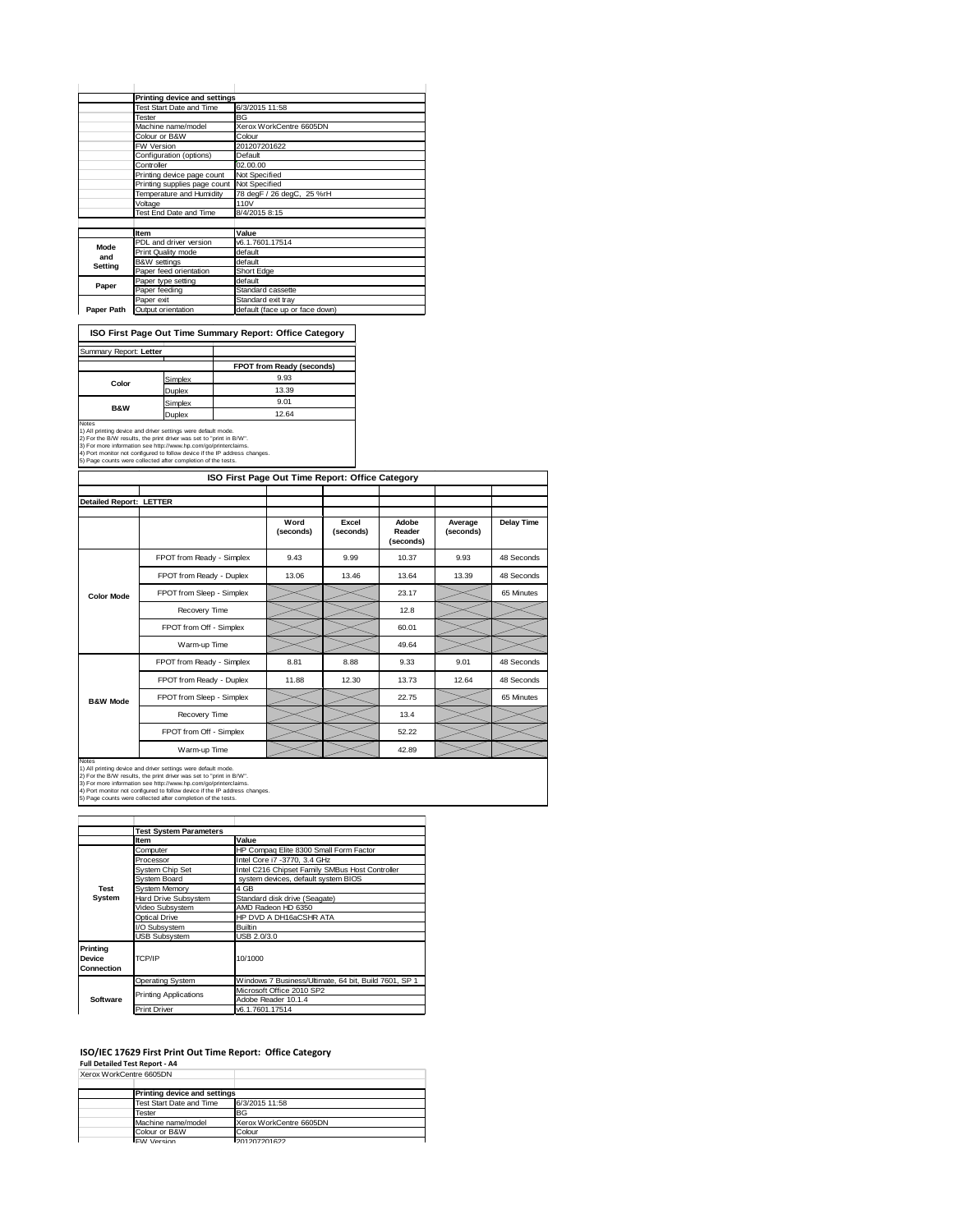|             | Printing device and settings |                                |
|-------------|------------------------------|--------------------------------|
|             | Test Start Date and Time     | 6/3/2015 11:58                 |
|             | <b>Tester</b>                | <b>BG</b>                      |
|             | Machine name/model           | Xerox WorkCentre 6605DN        |
|             | Colour or B&W                | Colour                         |
|             | <b>FW Version</b>            | 201207201622                   |
|             | Configuration (options)      | Default                        |
|             | Controller                   | 02.00.00                       |
|             | Printing device page count   | Not Specified                  |
|             | Printing supplies page count | Not Specified                  |
|             | Temperature and Humidity     | 78 degF / 26 degC, 25 %rH      |
|             | Voltage                      | 110V                           |
|             | Test End Date and Time       | 8/4/2015 8:15                  |
|             |                              |                                |
|             | Item                         | Value                          |
| <b>Mode</b> | PDL and driver version       | v6.1.7601.17514                |
| and         | Print Quality mode           | default                        |
| Setting     | <b>B&amp;W</b> settings      | default                        |
|             | Paper feed orientation       | Short Edge                     |
|             | Paper type setting           | default                        |
| Paper       | Paper feeding                | Standard cassette              |
|             | Paper exit                   | Standard exit tray             |
| Paper Path  | Output orientation           | default (face up or face down) |

| ISO First Page Out Time Summary Report: Office Category |         |                                  |  |  |
|---------------------------------------------------------|---------|----------------------------------|--|--|
| Summary Report: Letter                                  |         |                                  |  |  |
|                                                         |         | <b>FPOT from Ready (seconds)</b> |  |  |
| Color                                                   | Simplex | 9.93                             |  |  |
|                                                         | Duplex  | 13.39                            |  |  |

Simplex 9.01<br>Duplex 12.64 Duplex Notes<br>1) All printing device and driver settings were default mode.<br>2) For the B/W results, the print driver was set to "print in B/W".<br>3) For more information see http://www.hp.com/go/printerclaims.<br>4) Port monitor not co **B&W**

**ISO First Page Out Time Report: Office Category Detailed Report: LETTER Word Excel Delay Time Adobe Average (seconds) (seconds) (seconds) Reader (seconds)** FPOT from Ready - Simplex 9.43 9.99 10.37 9.93 48 Seconds FPOT from Ready - Duplex 13.06 13.46 13.64 13.39 48 Seconds FPOT from Sleep - Simplex 23.17 65 Minutes **Color Mode** Recovery Time 2.8  $\overline{\phantom{a}}$  $\overline{\phantom{a}}$  $\times$ FPOT from Off - Simplex  $\sim$   $\sim$  60.01  $\prec$ Warm-up Time 49.64  $\overline{\phantom{0}}$  $\overline{\phantom{0}}$ FPOT from Ready - Simplex 8.81 8.88 9.33 9.01 48 Seconds FPOT from Ready - Duplex 11.88 12.30 13.73 12.64 48 Seconds FPOT from Sleep - Simplex 22.75 65 Minutes **B&W Mode**  $>\!\!\!\times$ Recovery Time 13.4  $>\!<$ FPOT from Off - Simplex 52.22  $\backslash$  $\overline{\times}$ Warm-up Time 42.89

Notes<br>1) All printing device and driver settings were default mode.<br>2) For the B/W results, the print driver was set to "print in B/W".<br>3) For more information see http://www.hp.com/go/printerclaims.<br>4) Port monitor not co

|                 | <b>Test System Parameters</b> |                                                       |  |  |
|-----------------|-------------------------------|-------------------------------------------------------|--|--|
|                 | <b>Item</b>                   | Value                                                 |  |  |
|                 | Computer                      | HP Compaq Elite 8300 Small Form Factor                |  |  |
|                 | Processor                     | Intel Core i7 -3770, 3.4 GHz                          |  |  |
|                 | System Chip Set               | Intel C216 Chipset Family SMBus Host Controller       |  |  |
|                 | System Board                  | system devices, default system BIOS                   |  |  |
| Test            | System Memory                 | 4 GB                                                  |  |  |
| System          | <b>Hard Drive Subsystem</b>   | Standard disk drive (Seagate)                         |  |  |
|                 | Video Subsystem               | AMD Radeon HD 6350                                    |  |  |
|                 | Optical Drive                 | HP DVD A DH16aCSHR ATA                                |  |  |
|                 | I/O Subsystem                 | Builtin                                               |  |  |
|                 | <b>USB Subsystem</b>          | USB 2.0/3.0                                           |  |  |
| Printina        |                               |                                                       |  |  |
| Device          | TCP/IP                        | 10/1000                                               |  |  |
| Connection      |                               |                                                       |  |  |
|                 | <b>Operating System</b>       | Windows 7 Business/Ultimate, 64 bit, Build 7601, SP 1 |  |  |
|                 |                               | Microsoft Office 2010 SP2                             |  |  |
| <b>Software</b> | <b>Printing Applications</b>  | Adobe Reader 10.1.4                                   |  |  |
|                 | <b>Print Driver</b>           | v6.1.7601.17514                                       |  |  |

#### **ISO/IEC 17629 First Print Out Time Report: Office Category**

**Full Detailed Test Report ‐ A4** Xerox WorkCentre 6605DN

| <b>Printing device and settings</b> |                         |
|-------------------------------------|-------------------------|
| Test Start Date and Time            | 6/3/2015 11:58          |
| <b>Tester</b>                       | <b>BG</b>               |
| Machine name/model                  | Xerox WorkCentre 6605DN |
| Colour or B&W                       | Colour                  |
| <b>EW Version</b>                   | 201207201622            |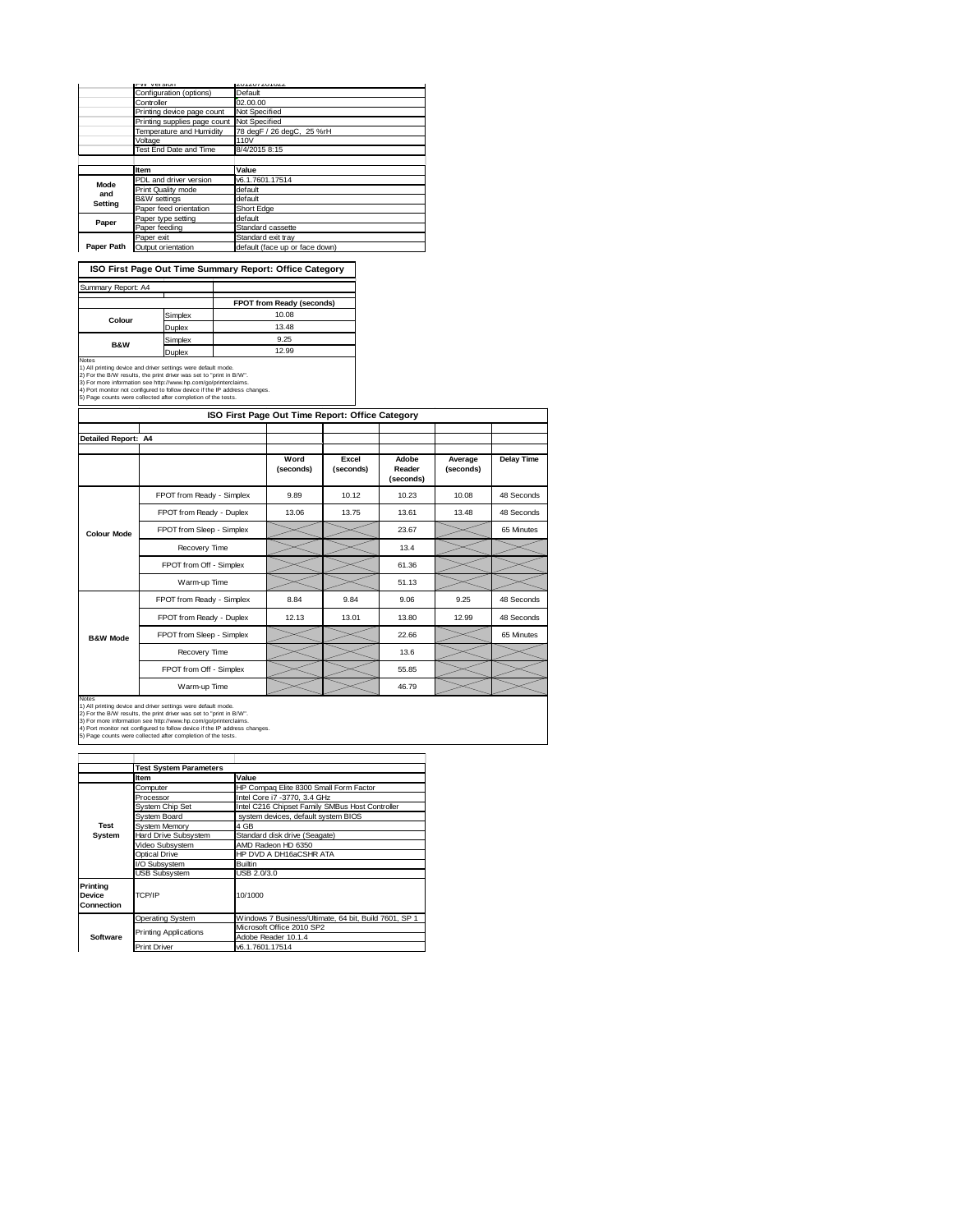|             | <b>FW VEISIULI</b>           | ZUIZUI ZUIDZZ                  |  |  |
|-------------|------------------------------|--------------------------------|--|--|
|             | Configuration (options)      | Default                        |  |  |
|             | Controller                   | 02.00.00                       |  |  |
|             | Printing device page count   | Not Specified                  |  |  |
|             | Printing supplies page count | Not Specified                  |  |  |
|             | Temperature and Humidity     | 78 degF / 26 degC, 25 %rH      |  |  |
|             | Voltage                      | 110V                           |  |  |
|             | Test End Date and Time       | 8/4/2015 8:15                  |  |  |
|             |                              |                                |  |  |
|             | <b>Item</b>                  | Value                          |  |  |
| <b>Mode</b> | PDL and driver version       | v6.1.7601.17514                |  |  |
| and         | Print Quality mode           | default                        |  |  |
| Setting     | <b>B&amp;W</b> settings      | default                        |  |  |
|             | Paper feed orientation       | Short Edge                     |  |  |
| Paper       | Paper type setting           | default                        |  |  |
|             | Paper feeding                | Standard cassette              |  |  |
|             | Paper exit                   | Standard exit trav             |  |  |
| Paper Path  | Output orientation           | default (face up or face down) |  |  |

**ISO First Page Out Time Summary Report: Office Category**

| Summary Report: A4 |         |                           |
|--------------------|---------|---------------------------|
|                    |         | FPOT from Ready (seconds) |
| Colour             | Simplex | 10.08                     |
|                    | Duplex  | 13.48                     |
| <b>B&amp;W</b>     | Simplex | 9.25                      |
|                    | Duplex  | 12.99                     |
| <b>Notes</b>       |         |                           |

Notes<br>1) All printing device and driver settings were default mode.<br>2) For the B/W results, the print driver was set to "print in B/W".<br>3) For more information see http://www.hp.com/go/printerclaims.<br>4) Port monitor not co

| ISO First Page Out Time Report: Office Category |                     |                    |                              |                      |                   |  |  |
|-------------------------------------------------|---------------------|--------------------|------------------------------|----------------------|-------------------|--|--|
|                                                 |                     |                    |                              |                      |                   |  |  |
|                                                 |                     |                    |                              |                      |                   |  |  |
|                                                 | Word<br>(seconds)   | Excel<br>(seconds) | Adobe<br>Reader<br>(seconds) | Average<br>(seconds) | <b>Delay Time</b> |  |  |
| FPOT from Ready - Simplex                       | 9.89                | 10.12              | 10.23                        | 10.08                | 48 Seconds        |  |  |
| FPOT from Ready - Duplex                        | 13.06               | 13.75              | 13.61                        | 13.48                | 48 Seconds        |  |  |
| FPOT from Sleep - Simplex                       |                     |                    | 23.67                        |                      | 65 Minutes        |  |  |
| Recovery Time                                   |                     |                    | 13.4                         |                      |                   |  |  |
| FPOT from Off - Simplex                         |                     |                    | 61.36                        |                      |                   |  |  |
| Warm-up Time                                    |                     |                    | 51.13                        |                      |                   |  |  |
| FPOT from Ready - Simplex                       | 8.84                | 9.84               | 9.06                         | 9.25                 | 48 Seconds        |  |  |
| FPOT from Ready - Duplex                        | 12.13               | 13.01              | 13.80                        | 12.99                | 48 Seconds        |  |  |
| FPOT from Sleep - Simplex                       |                     |                    | 22.66                        |                      | 65 Minutes        |  |  |
| Recovery Time                                   |                     |                    | 13.6                         |                      |                   |  |  |
| FPOT from Off - Simplex                         |                     |                    | 55.85                        |                      |                   |  |  |
| Warm-up Time                                    |                     |                    | 46.79                        |                      |                   |  |  |
|                                                 | Detailed Report: A4 |                    |                              |                      |                   |  |  |

Notes<br>1) All printing device and driver settings were default mode.<br>2) For the B/W results, the print driver was set to "print in B/W".<br>3) For more information see http://www.hp.com/go/printerclaims.<br>4) Port monitor not co

|                                                       | <b>Test System Parameters</b> |                                                       |  |  |
|-------------------------------------------------------|-------------------------------|-------------------------------------------------------|--|--|
|                                                       | <b>Item</b>                   | Value                                                 |  |  |
|                                                       | Computer                      | HP Compaq Elite 8300 Small Form Factor                |  |  |
|                                                       | Processor                     | Intel Core i7 -3770, 3.4 GHz                          |  |  |
|                                                       | System Chip Set               | Intel C216 Chipset Family SMBus Host Controller       |  |  |
|                                                       | System Board                  | system devices, default system BIOS                   |  |  |
| Test                                                  | System Memory                 | 4 GB                                                  |  |  |
| System                                                | <b>Hard Drive Subsystem</b>   | Standard disk drive (Seagate)                         |  |  |
|                                                       | Video Subsystem               | AMD Radeon HD 6350                                    |  |  |
|                                                       | Optical Drive                 | HP DVD A DH16aCSHR ATA                                |  |  |
|                                                       | I/O Subsystem                 | <b>Builtin</b>                                        |  |  |
|                                                       | <b>USB Subsystem</b>          | USB 2.0/3.0                                           |  |  |
| Printina<br>10/1000<br>TCP/IP<br>Device<br>Connection |                               |                                                       |  |  |
|                                                       | <b>Operating System</b>       | Windows 7 Business/Ultimate, 64 bit, Build 7601, SP 1 |  |  |
|                                                       |                               | Microsoft Office 2010 SP2                             |  |  |
| Software                                              | <b>Printing Applications</b>  | Adobe Reader 10.1.4                                   |  |  |
|                                                       | <b>Print Driver</b>           | v6.1.7601.17514                                       |  |  |
|                                                       |                               |                                                       |  |  |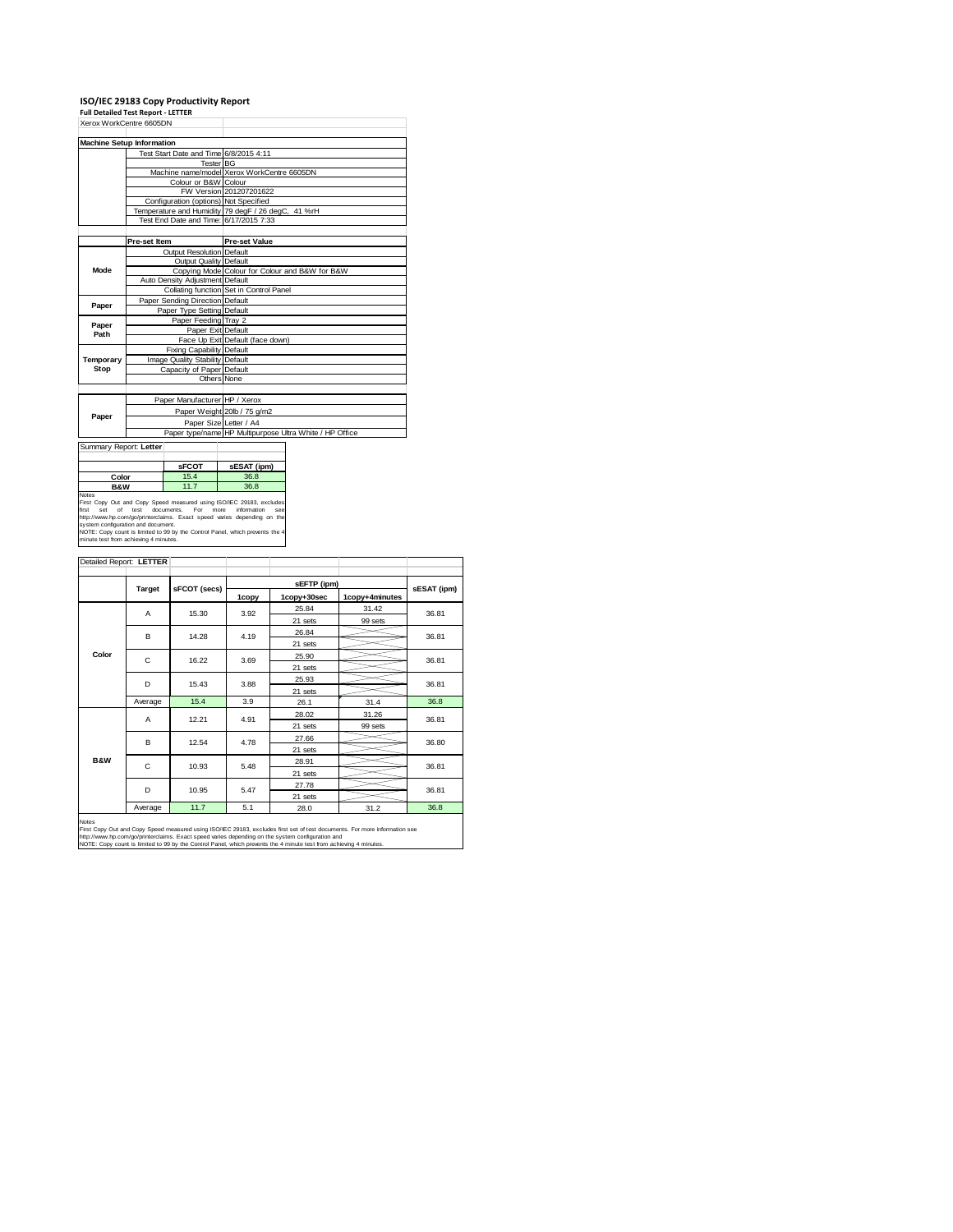#### **ISO/IEC 29183 Copy Productivity Report**

**Full Detailed Test Report ‐ LETTER**

|             | rull betailed Test Report - LETTER     |                                                         |
|-------------|----------------------------------------|---------------------------------------------------------|
|             | Xerox WorkCentre 6605DN                |                                                         |
|             |                                        |                                                         |
|             | <b>Machine Setup Information</b>       |                                                         |
|             | Test Start Date and Time 6/8/2015 4:11 |                                                         |
|             | <b>Tester BG</b>                       |                                                         |
|             |                                        | Machine name/model Xerox WorkCentre 6605DN              |
|             | Colour or B&W Colour                   |                                                         |
|             |                                        | FW Version 201207201622                                 |
|             | Configuration (options) Not Specified  |                                                         |
|             |                                        | Temperature and Humidity 79 degF / 26 degC, 41 %rH      |
|             | Test End Date and Time: 6/17/2015 7:33 |                                                         |
|             |                                        |                                                         |
|             | Pre-set Item                           | <b>Pre-set Value</b>                                    |
|             | Output Resolution Default              |                                                         |
|             | Output Quality Default                 |                                                         |
| <b>Mode</b> |                                        | Copying Mode Colour for Colour and B&W for B&W          |
|             | Auto Density Adjustment Default        |                                                         |
|             |                                        | Collating function Set in Control Panel                 |
| Paper       | Paper Sending Direction Default        |                                                         |
|             | Paper Type Setting Default             |                                                         |
| Paper       | Paper Feeding Tray 2                   |                                                         |
| Path        | Paper Exit Default                     |                                                         |
|             |                                        | Face Up Exit Default (face down)                        |
|             | <b>Fixing Capability Default</b>       |                                                         |
| Temporary   | Image Quality Stability Default        |                                                         |
| Stop        | Capacity of Paper Default              |                                                         |
|             | Others None                            |                                                         |
|             |                                        |                                                         |
|             | Paper Manufacturer HP / Xerox          |                                                         |
|             |                                        | Paper Weight 20lb / 75 g/m2                             |
| Paper       | Paper Size Letter / A4                 |                                                         |
|             |                                        | Paper type/name HP Multipurpose Ultra White / HP Office |
|             |                                        |                                                         |

Summary Report: **Letter**

|                                                                                                    | <b>SFCOT</b>      | sESAT (ipm)                |
|----------------------------------------------------------------------------------------------------|-------------------|----------------------------|
| Color                                                                                              | 15.4              | 36.8                       |
| <b>B&amp;W</b>                                                                                     | 11.7              | 36.8                       |
| Notes                                                                                              |                   |                            |
| First Copy Out and Copy Speed measured using ISO/IEC 29183, excludes<br>first<br>of<br>test<br>set | documents.<br>For | information<br>more<br>see |

J.

first set of test documents. For more information see<br>http://www.hp.com/go/printerclaims. Exact speed varies depending on the<br>system configuration and document.<br>NOTE: Copy count is limited to 99 by the Control Panel, which

| Detailed Report: LETTER |               |              |       |             |                |             |
|-------------------------|---------------|--------------|-------|-------------|----------------|-------------|
|                         |               |              |       |             |                |             |
|                         | <b>Target</b> | sFCOT (secs) |       | sEFTP (ipm) |                | sESAT (ipm) |
|                         |               |              | 1copy | 1copy+30sec | 1copy+4minutes |             |
|                         | A             | 15.30        | 3.92  | 25.84       | 31.42          | 36.81       |
|                         |               |              |       | 21 sets     | 99 sets        |             |
|                         | B             | 14.28        | 4.19  | 26.84       |                | 36.81       |
|                         |               |              |       | 21 sets     |                |             |
| Color                   | C             | 16.22        | 3.69  | 25.90       |                | 36.81       |
|                         |               |              |       | 21 sets     |                |             |
|                         | D             | 15.43        | 3.88  | 25.93       |                | 36.81       |
|                         |               |              |       | 21 sets     |                |             |
|                         | Average       | 15.4         | 3.9   | 26.1        | 31.4           | 36.8        |
|                         | A             | 12.21        | 4.91  | 28.02       | 31.26          | 36.81       |
|                         |               |              |       | 21 sets     | 99 sets        |             |
|                         | в             | 12.54        | 4.78  | 27.66       |                | 36.80       |
|                         |               |              |       | 21 sets     |                |             |
| <b>B&amp;W</b>          | C             | 10.93        | 5.48  | 28.91       |                | 36.81       |
|                         |               |              |       | 21 sets     |                |             |
|                         | D             | 10.95        | 5.47  | 27.78       |                | 36.81       |
|                         |               |              |       | 21 sets     |                |             |
|                         | Average       | 11.7         | 5.1   | 28.0        | 31.2           | 36.8        |

Notes<br>First Copy Out and Copy Speed measured using ISO/IEC 29183, excludes first set of test documents. For more information see<br>http://www.hp.com/go/printeclaims. Exact speed varies depending on the system configuration a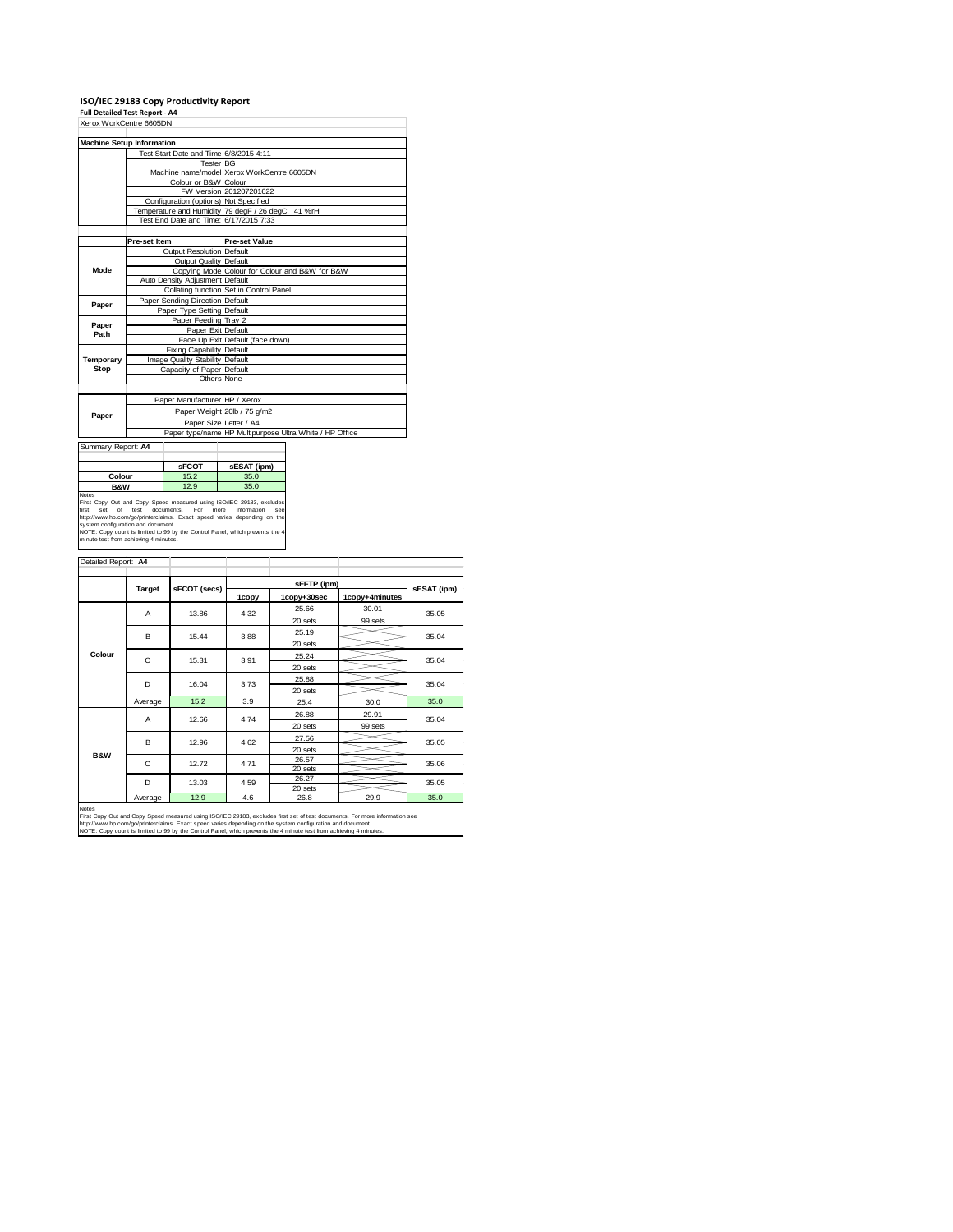# **ISO/IEC 29183 Copy Productivity Report Full Detailed Test Report ‐ A4**

|             | . an betaned Test Report - A+          |                                                         |
|-------------|----------------------------------------|---------------------------------------------------------|
|             | Xerox WorkCentre 6605DN                |                                                         |
|             |                                        |                                                         |
|             | <b>Machine Setup Information</b>       |                                                         |
|             | Test Start Date and Time 6/8/2015 4:11 |                                                         |
|             | <b>Tester</b> BG                       |                                                         |
|             |                                        | Machine name/model Xerox WorkCentre 6605DN              |
|             | Colour or B&W Colour                   |                                                         |
|             |                                        | FW Version 201207201622                                 |
|             | Configuration (options) Not Specified  |                                                         |
|             |                                        | Temperature and Humidity 79 degF / 26 degC, 41 %rH      |
|             | Test End Date and Time: 6/17/2015 7:33 |                                                         |
|             |                                        |                                                         |
|             | Pre-set Item                           | <b>Pre-set Value</b>                                    |
|             | <b>Output Resolution Default</b>       |                                                         |
|             | Output Quality Default                 |                                                         |
| <b>Mode</b> |                                        | Copying Mode Colour for Colour and B&W for B&W          |
|             | Auto Density Adjustment Default        |                                                         |
|             |                                        | Collating function Set in Control Panel                 |
| Paper       | Paper Sending Direction Default        |                                                         |
|             | Paper Type Setting Default             |                                                         |
| Paper       | Paper Feeding Tray 2                   |                                                         |
| Path        | Paper Exit Default                     |                                                         |
|             |                                        | Face Up Exit Default (face down)                        |
|             | <b>Fixing Capability Default</b>       |                                                         |
| Temporary   | Image Quality Stability Default        |                                                         |
| Stop        | Capacity of Paper Default              |                                                         |
|             | Others None                            |                                                         |
|             |                                        |                                                         |
|             | Paper Manufacturer HP / Xerox          |                                                         |
| Paper       |                                        | Paper Weight 20lb / 75 g/m2                             |
|             | Paper Size Letter / A4                 |                                                         |
|             |                                        | Paper type/name HP Multipurpose Ultra White / HP Office |

Summary Report: **A4**

|                                                                     | <b>SFCOT</b> | sESAT (ipm)               |
|---------------------------------------------------------------------|--------------|---------------------------|
| Colour                                                              | 15.2         | 35.0                      |
| <b>B&amp;W</b>                                                      | 12.9         | 35.0                      |
| <b>Notes</b>                                                        |              |                           |
| First Copy Out and Copy Speed measured using ISO/IEC 29183, exclude |              |                           |
| firet<br>test documents<br>of<br>cot                                | For.         | information<br>more<br>c. |

a b

First Copy Out and Copy Speed measured using ISO/IEC 29183, excludes<br>first set of test documents. For more information see<br>http://www.hp.com/go/printenclaims. Exact speed varies depending on the<br>NOTE: Copy count is limited

| Detailed Report: A4 |               |              |       |             |                |             |
|---------------------|---------------|--------------|-------|-------------|----------------|-------------|
|                     |               |              |       |             |                |             |
|                     | <b>Target</b> | sFCOT (secs) |       | sEFTP (ipm) |                | sESAT (ipm) |
|                     |               |              | 1copy | 1copy+30sec | 1copy+4minutes |             |
|                     | A             | 13.86        | 4.32  | 25.66       | 30.01          | 35.05       |
|                     |               |              |       | 20 sets     | 99 sets        |             |
|                     | B             | 15.44        | 3.88  | 25.19       |                | 35.04       |
|                     |               |              |       | 20 sets     |                |             |
| Colour              | C             |              | 3.91  | 25.24       |                |             |
|                     |               | 15.31        |       | 20 sets     |                | 35.04       |
|                     |               | 16.04        | 3.73  | 25.88       |                | 35.04       |
|                     | D             |              |       | 20 sets     |                |             |
|                     | Average       | 15.2         | 3.9   | 25.4        | 30.0           | 35.0        |
|                     | A             | 12.66        | 4.74  | 26.88       | 29.91          | 35.04       |
|                     |               |              |       | 20 sets     | 99 sets        |             |
|                     | B             |              | 4.62  | 27.56       |                | 35.05       |
|                     |               | 12.96        |       | 20 sets     |                |             |
| <b>B&amp;W</b>      | C             | 12.72        | 4.71  | 26.57       |                | 35.06       |
|                     |               |              |       | 20 sets     |                |             |
|                     | D             | 13.03        | 4.59  | 26.27       |                | 35.05       |
|                     |               |              |       | 20 sets     |                |             |
| Notes               | Average       | 12.9         | 4.6   | 26.8        | 29.9           | 35.0        |

Notes<br>First Copy Out and Copy Speed measured using ISO/IEC 29183, excludes first set of test documents. For more information see<br>http://www.fp.com/go/printeclaims. Exact speed varies depending on the system configuration a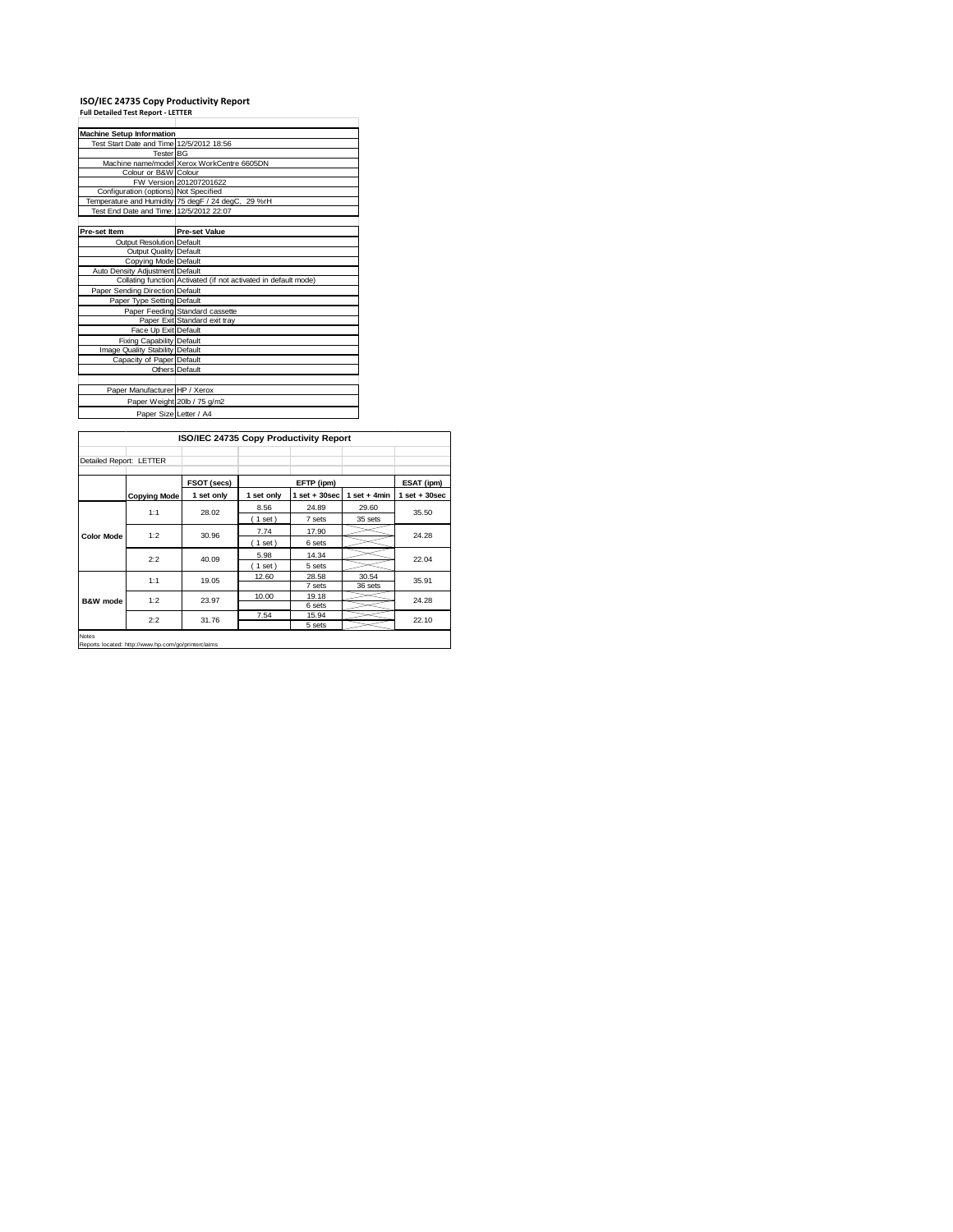### **ISO/IEC 24735 Copy Productivity Report Full Detailed Test Report ‐ LETTER**

| <b>Machine Setup Information</b>         |                                                                 |
|------------------------------------------|-----------------------------------------------------------------|
| Test Start Date and Time 12/5/2012 18:56 |                                                                 |
| Tester <sup>BG</sup>                     |                                                                 |
|                                          | Machine name/model Xerox WorkCentre 6605DN                      |
| Colour or B&W Colour                     |                                                                 |
|                                          | FW Version 201207201622                                         |
| Configuration (options) Not Specified    |                                                                 |
|                                          | Temperature and Humidity 75 degF / 24 degC, 29 %rH              |
| Test End Date and Time: 12/5/2012 22:07  |                                                                 |
|                                          |                                                                 |
| Pre-set Item                             | <b>Pre-set Value</b>                                            |
| Output Resolution Default                |                                                                 |
| Output Quality Default                   |                                                                 |
| Copying Mode Default                     |                                                                 |
| Auto Density Adjustment Default          |                                                                 |
|                                          | Collating function Activated (if not activated in default mode) |
| Paper Sending Direction Default          |                                                                 |
| Paper Type Setting Default               |                                                                 |
|                                          | Paper Feeding Standard cassette                                 |
|                                          | Paper Exit Standard exit tray                                   |
| Face Up Exit Default                     |                                                                 |
| Fixing Capability Default                |                                                                 |
| Image Quality Stability Default          |                                                                 |
| Capacity of Paper Default                |                                                                 |
|                                          | Others Default                                                  |
|                                          |                                                                 |
| Paper Manufacturer HP / Xerox            |                                                                 |
|                                          | Paper Weight 20lb / 75 g/m2                                     |
| Paper Size Letter / A4                   |                                                                 |
|                                          |                                                                 |

| ISO/IEC 24735 Copy Productivity Report |                                                     |             |            |                 |                 |                 |  |
|----------------------------------------|-----------------------------------------------------|-------------|------------|-----------------|-----------------|-----------------|--|
| Detailed Report: LETTER                |                                                     |             |            |                 |                 |                 |  |
|                                        |                                                     | FSOT (secs) | EFTP (ipm) |                 |                 | ESAT (ipm)      |  |
|                                        | <b>Copying Mode</b>                                 | 1 set only  | 1 set only | $1$ set + 30sec | $1 set + 4 min$ | $1$ set + 30sec |  |
| <b>Color Mode</b>                      | 1:1                                                 | 28.02       | 8.56       | 24.89           | 29.60           | 35.50           |  |
|                                        |                                                     |             | (1 set)    | 7 sets          | 35 sets         |                 |  |
|                                        | 1:2                                                 | 30.96       | 7.74       | 17.90           |                 | 24.28           |  |
|                                        |                                                     |             | $1$ set)   | 6 sets          |                 |                 |  |
|                                        | 2:2                                                 | 40.09       | 5.98       | 14.34           |                 | 22.04           |  |
|                                        |                                                     |             | (1 set)    | 5 sets          |                 |                 |  |
| <b>B&amp;W</b> mode                    | 1:1                                                 | 19.05       | 12.60      | 28.58           | 30.54           | 35.91           |  |
|                                        |                                                     |             |            | 7 sets          | 36 sets         |                 |  |
|                                        | 1:2                                                 | 23.97       | 10.00      | 19.18           |                 | 24.28           |  |
|                                        |                                                     |             |            | 6 sets          |                 |                 |  |
|                                        | 2:2                                                 | 31.76       | 7.54       | 15.94           |                 | 22.10           |  |
|                                        |                                                     |             |            | 5 sets          |                 |                 |  |
| <b>Notes</b>                           | Reports located: http://www.hp.com/go/printerclaims |             |            |                 |                 |                 |  |